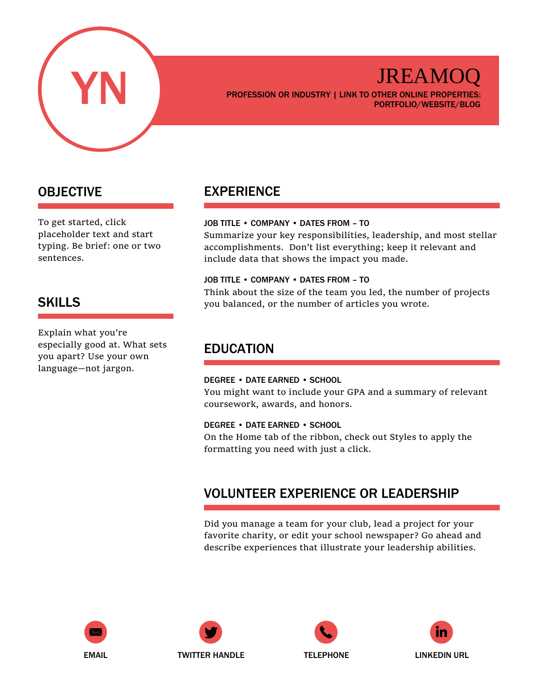

## JREAMO(

PROFESSION OR INDUSTRY | LINK TO OTHER ONLINE PROPERTIES: PORTFOLIO/WEBSITE/BLOG

## OBJECTIVE

To get started, click placeholder text and start typing. Be brief: one or two sentences.

## SKILLS

Explain what you're especially good at. What sets you apart? Use your own language—not jargon.

## EXPERIENCE

### JOB TITLE • COMPANY • DATES FROM – TO

Summarize your key responsibilities, leadership, and most stellar accomplishments. Don't list everything; keep it relevant and include data that shows the impact you made.

#### JOB TITLE • COMPANY • DATES FROM – TO

Think about the size of the team you led, the number of projects you balanced, or the number of articles you wrote.

## EDUCATION

### DEGREE • DATE EARNED • SCHOOL

You might want to include your GPA and a summary of relevant coursework, awards, and honors.

#### DEGREE • DATE EARNED • SCHOOL

On the Home tab of the ribbon, check out Styles to apply the formatting you need with just a click.

## VOLUNTEER EXPERIENCE OR LEADERSHIP

Did you manage a team for your club, lead a project for your favorite charity, or edit your school newspaper? Go ahead and describe experiences that illustrate your leadership abilities.









EMAIL **TWITTER HANDLE** TELEPHONE LINKEDIN URL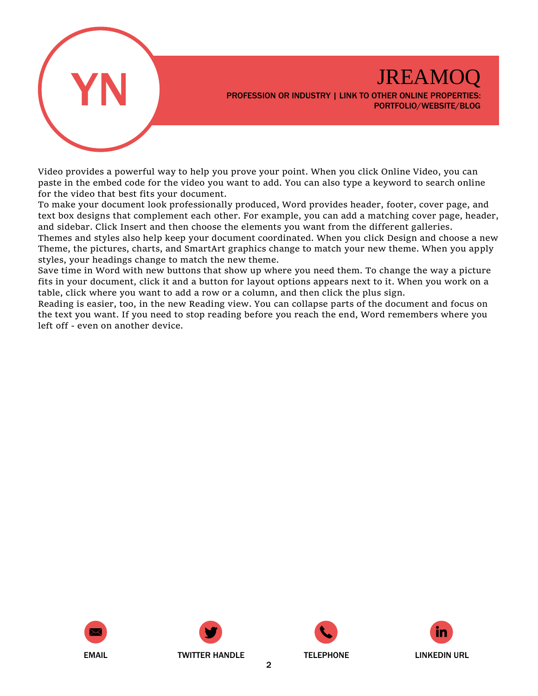

Video provides a powerful way to help you prove your point. When you click Online Video, you can paste in the embed code for the video you want to add. You can also type a keyword to search online for the video that best fits your document.

To make your document look professionally produced, Word provides header, footer, cover page, and text box designs that complement each other. For example, you can add a matching cover page, header, and sidebar. Click Insert and then choose the elements you want from the different galleries.

Themes and styles also help keep your document coordinated. When you click Design and choose a new Theme, the pictures, charts, and SmartArt graphics change to match your new theme. When you apply styles, your headings change to match the new theme.

Save time in Word with new buttons that show up where you need them. To change the way a picture fits in your document, click it and a button for layout options appears next to it. When you work on a table, click where you want to add a row or a column, and then click the plus sign.

Reading is easier, too, in the new Reading view. You can collapse parts of the document and focus on the text you want. If you need to stop reading before you reach the end, Word remembers where you left off - even on another device.







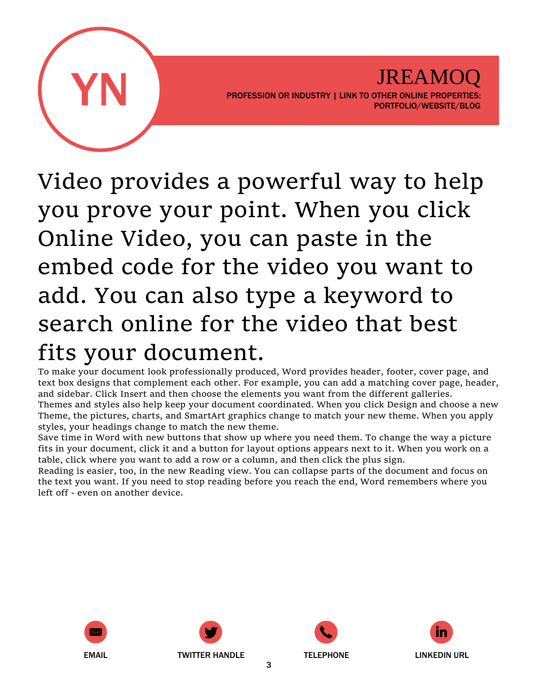

Video provides a powerful way to help you prove your point. When you click Online Video, you can paste in the embed code for the video you want to add. You can also type a keyword to search online for the video that best fits your document.

To make your document look professionally produced, Word provides header, footer, cover page, and text box designs that complement each other. For example, you can add a matching cover page, header, and sidebar. Click Insert and then choose the elements you want from the different galleries.

Themes and styles also help keep your document coordinated. When you click Design and choose a new Theme, the pictures, charts, and SmartArt graphics change to match your new theme. When you apply styles, your headings change to match the new theme.

Save time in Word with new buttons that show up where you need them. To change the way a picture fits in your document, click it and a button for layout options appears next to it. When you work on a table, click where you want to add a row or a column, and then click the plus sign.

Reading is easier, too, in the new Reading view. You can collapse parts of the document and focus on the text you want. If you need to stop reading before you reach the end, Word remembers where you left off - even on another device.









3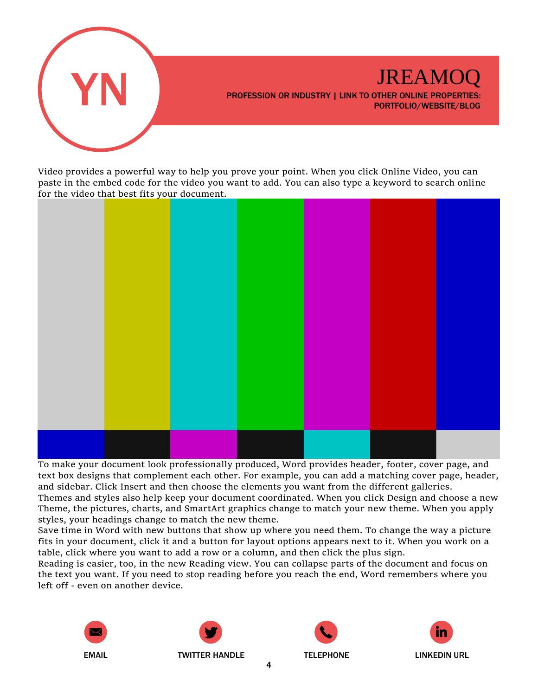

Video provides a powerful way to help you prove your point. When you click Online Video, you can paste in the embed code for the video you want to add. You can also type a keyword to search online for the video that best fits your document.



To make your document look professionally produced, Word provides header, footer, cover page, and text box designs that complement each other. For example, you can add a matching cover page, header, and sidebar. Click Insert and then choose the elements you want from the different galleries.

Themes and styles also help keep your document coordinated. When you click Design and choose a new Theme, the pictures, charts, and SmartArt graphics change to match your new theme. When you apply styles, your headings change to match the new theme.

Save time in Word with new buttons that show up where you need them. To change the way a picture fits in your document, click it and a button for layout options appears next to it. When you work on a table, click where you want to add a row or a column, and then click the plus sign.

Reading is easier, too, in the new Reading view. You can collapse parts of the document and focus on the text you want. If you need to stop reading before you reach the end, Word remembers where you left off - even on another device.







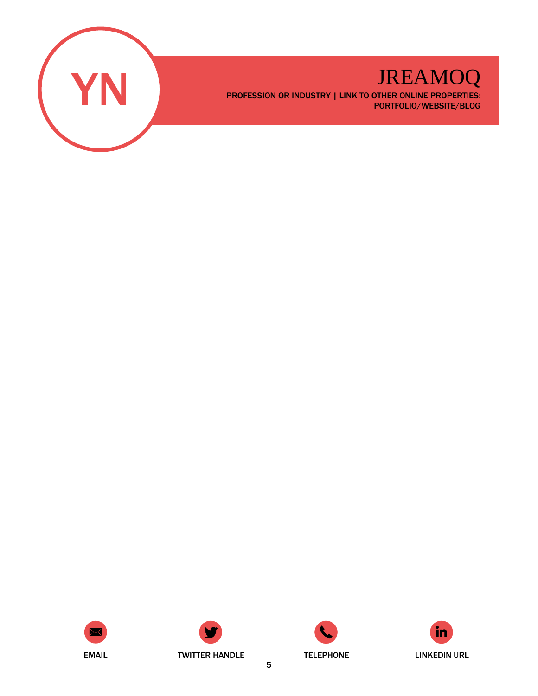







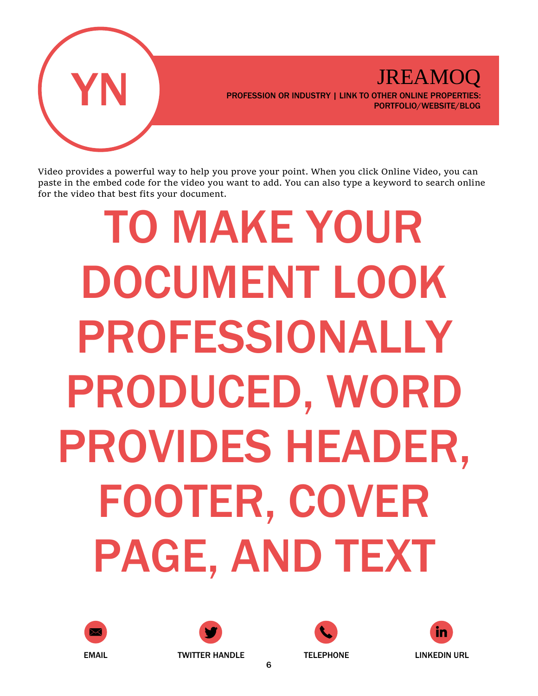

Video provides a powerful way to help you prove your point. When you click Online Video, you can paste in the embed code for the video you want to add. You can also type a keyword to search online for the video that best fits your document.

# TO MAKE YOUR DOCUMENT LOOK PROFESSIONALLY PRODUCED, WORD PROVIDES HEADER, FOOTER, COVER PAGE, AND TEXT





![](_page_5_Picture_6.jpeg)

![](_page_5_Picture_7.jpeg)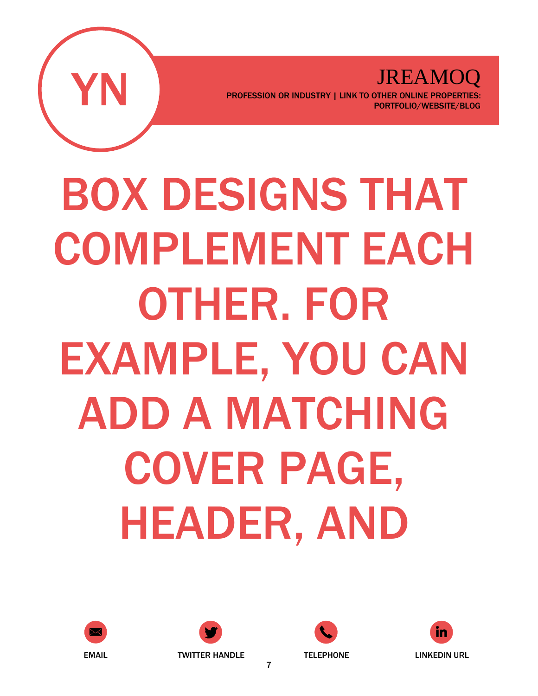![](_page_6_Picture_0.jpeg)

BOX DESIGNS THAT COMPLEMENT EACH OTHER. FOR EXAMPLE, YOU CAN ADD A MATCHING COVER PAGE, HEADER, AND

![](_page_6_Picture_3.jpeg)

![](_page_6_Picture_4.jpeg)

![](_page_6_Picture_5.jpeg)

![](_page_6_Picture_6.jpeg)

7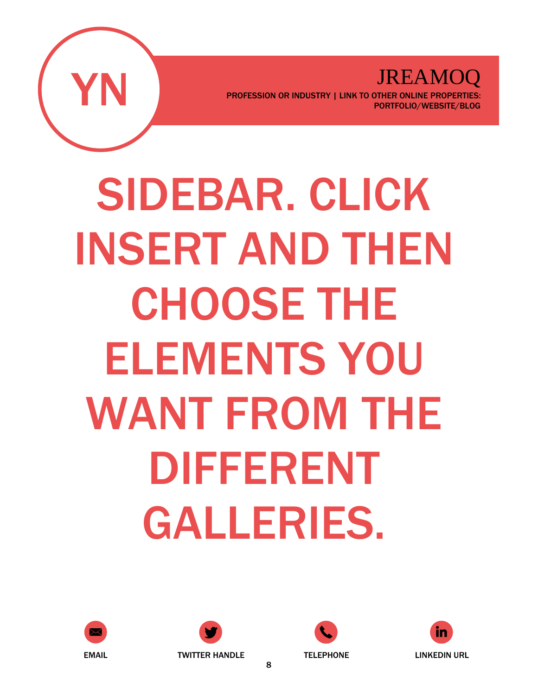![](_page_7_Picture_0.jpeg)

SIDEBAR. CLICK INSERT AND THEN CHOOSE THE ELEMENTS YOU WANT FROM THE DIFFERENT GALLERIES.

![](_page_7_Picture_3.jpeg)

![](_page_7_Picture_4.jpeg)

![](_page_7_Picture_5.jpeg)

![](_page_7_Picture_6.jpeg)

8